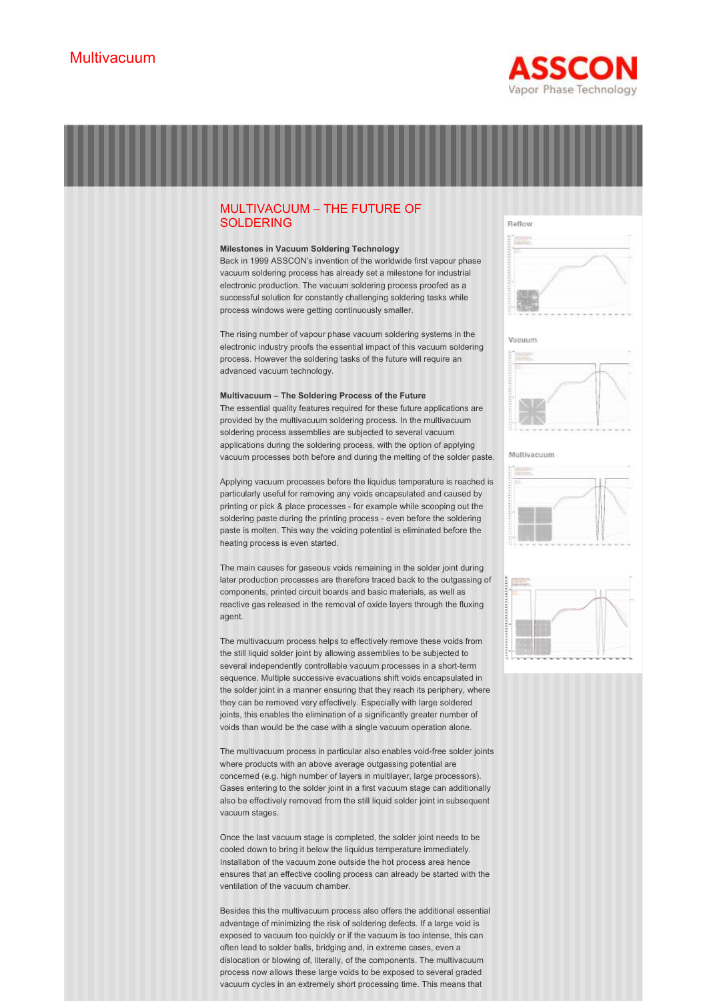



Once the last vacuum stage is completed, the solder joint needs to be cooled down to bring it below the liquidus temperature immediately. Installation of the vacuum zone outside the hot process area hence ensures that an effective cooling process can already be started with the ventilation of the vacuum chamber.

Besides this the multivacuum process also offers the additional essential advantage of minimizing the risk of soldering defects. If a large void is exposed to vacuum too quickly or if the vacuum is too intense, this can often lead to solder balls, bridging and, in extreme cases, even a dislocation or blowing of, literally, of the components. The multivacuum process now allows these large voids to be exposed to several graded vacuum cycles in an extremely short processing time. This means that